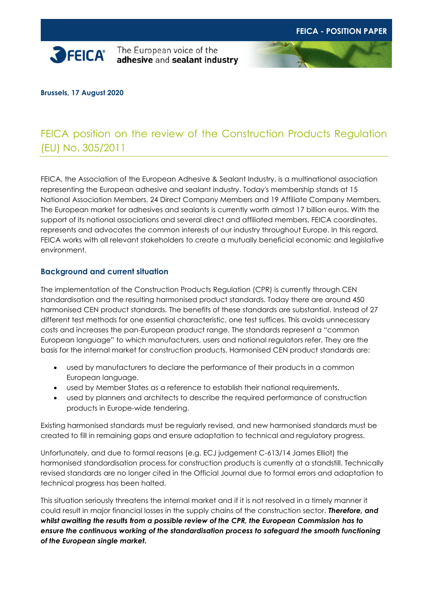

#### **Brussels, 17 August 2020**

# FEICA position on the review of the Construction Products Regulation (EU) No. 305/2011

FEICA, the Association of the European Adhesive & Sealant Industry, is a multinational association representing the European adhesive and sealant industry. Today's membership stands at 15 National Association Members, 24 Direct Company Members and 19 Affiliate Company Members. The European market for adhesives and sealants is currently worth almost 17 billion euros. With the support of its national associations and several direct and affiliated members, FEICA coordinates, represents and advocates the common interests of our industry throughout Europe. In this regard, FEICA works with all relevant stakeholders to create a mutually beneficial economic and legislative environment.

#### **Background and current situation**

The implementation of the Construction Products Regulation (CPR) is currently through CEN standardisation and the resulting harmonised product standards. Today there are around 450 harmonised CEN product standards. The benefits of these standards are substantial. Instead of 27 different test methods for one essential characteristic, one test suffices. This avoids unnecessary costs and increases the pan-European product range. The standards represent a "common European language" to which manufacturers, users and national regulators refer. They are the basis for the internal market for construction products. Harmonised CEN product standards are:

- used by manufacturers to declare the performance of their products in a common European language.
- used by Member States as a reference to establish their national requirements.
- used by planners and architects to describe the required performance of construction products in Europe-wide tendering.

Existing harmonised standards must be regularly revised, and new harmonised standards must be created to fill in remaining gaps and ensure adaptation to technical and regulatory progress.

Unfortunately, and due to formal reasons (e.g. ECJ judgement C-613/14 James Elliot) the harmonised standardisation process for construction products is currently at a standstill. Technically revised standards are no longer cited in the Official Journal due to formal errors and adaptation to technical progress has been halted.

This situation seriously threatens the internal market and if it is not resolved in a timely manner it could result in major financial losses in the supply chains of the construction sector. *Therefore, and whilst awaiting the results from a possible review of the CPR, the European Commission has to ensure the continuous working of the standardisation process to safeguard the smooth functioning of the European single market.*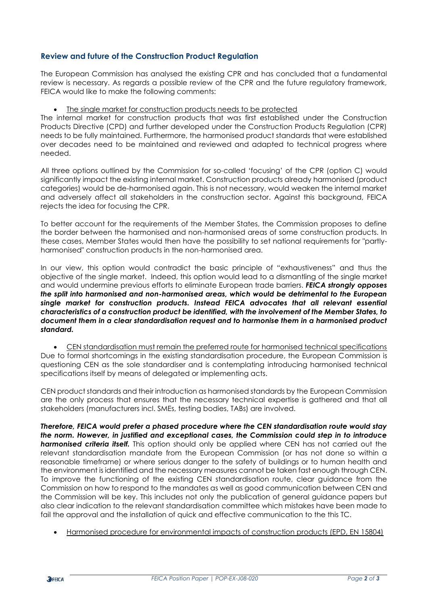### **Review and future of the Construction Product Regulation**

The European Commission has analysed the existing CPR and has concluded that a fundamental review is necessary. As regards a possible review of the CPR and the future regulatory framework, FEICA would like to make the following comments:

#### • The single market for construction products needs to be protected

The internal market for construction products that was first established under the Construction Products Directive (CPD) and further developed under the Construction Products Regulation (CPR) needs to be fully maintained. Furthermore, the harmonised product standards that were established over decades need to be maintained and reviewed and adapted to technical progress where needed.

All three options outlined by the Commission for so-called 'focusing' of the CPR (option C) would significantly impact the existing internal market. Construction products already harmonised (product categories) would be de-harmonised again. This is not necessary, would weaken the internal market and adversely affect all stakeholders in the construction sector. Against this background, FEICA rejects the idea for focusing the CPR.

To better account for the requirements of the Member States, the Commission proposes to define the border between the harmonised and non-harmonised areas of some construction products. In these cases, Member States would then have the possibility to set national requirements for "partlyharmonised" construction products in the non-harmonised area.

In our view, this option would contradict the basic principle of "exhaustiveness" and thus the objective of the single market. Indeed, this option would lead to a dismantling of the single market and would undermine previous efforts to eliminate European trade barriers. *FEICA strongly opposes the split into harmonised and non-harmonised areas, which would be detrimental to the European single market for construction products. Instead FEICA advocates that all relevant essential characteristics of a construction product be identified, with the involvement of the Member States, to document them in a clear standardisation request and to harmonise them in a harmonised product standard.*

• CEN standardisation must remain the preferred route for harmonised technical specifications Due to formal shortcomings in the existing standardisation procedure, the European Commission is questioning CEN as the sole standardiser and is contemplating introducing harmonised technical specifications itself by means of delegated or implementing acts.

CEN product standards and their introduction as harmonised standards by the European Commission are the only process that ensures that the necessary technical expertise is gathered and that all stakeholders (manufacturers incl. SMEs, testing bodies, TABs) are involved.

*Therefore, FEICA would prefer a phased procedure where the CEN standardisation route would stay the norm. However, in justified and exceptional cases, the Commission could step in to introduce*  **harmonised criteria itself.** This option should only be applied where CEN has not carried out the relevant standardisation mandate from the European Commission (or has not done so within a reasonable timeframe) or where serious danger to the safety of buildings or to human health and the environment is identified and the necessary measures cannot be taken fast enough through CEN. To improve the functioning of the existing CEN standardisation route, clear guidance from the Commission on how to respond to the mandates as well as good communication between CEN and the Commission will be key. This includes not only the publication of general guidance papers but also clear indication to the relevant standardisation committee which mistakes have been made to fail the approval and the installation of quick and effective communication to the this TC.

• Harmonised procedure for environmental impacts of construction products (EPD, EN 15804)